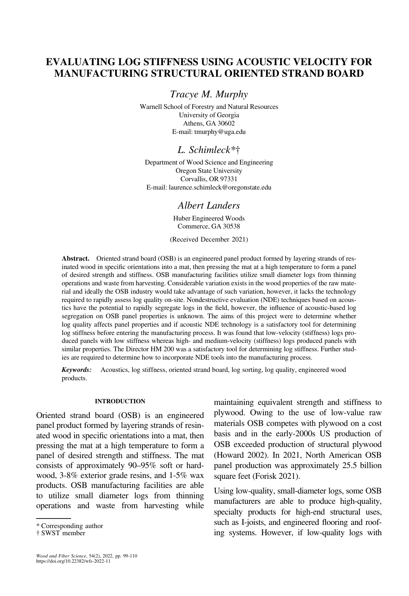## **EVALUATING LOG STIFFNESS USING ACOUSTIC VELOCITY FOR** MANUFACTURING STRUCTURAL ORIENTED STRAND BOARD

Tracye M. Murphy

Warnell School of Forestry and Natural Resources University of Georgia Athens, GA 30602 E-mail: [tmurphy@uga.edu](mailto:tmurphy@uga.edu)

## L. Schimleck\*†

Department of Wood Science and Engineering Oregon State University Corvallis, OR 97331 E-mail: [laurence.schimleck@oregonstate.edu](mailto:laurence.schimleck@oregonstate.edu)

## Albert Landers

Huber Engineered Woods Commerce, GA 30538

(Received December 2021)

Abstract. Oriented strand board (OSB) is an engineered panel product formed by layering strands of resinated wood in specific orientations into a mat, then pressing the mat at a high temperature to form a panel of desired strength and stiffness. OSB manufacturing facilities utilize small diameter logs from thinning operations and waste from harvesting. Considerable variation exists in the wood properties of the raw material and ideally the OSB industry would take advantage of such variation, however, it lacks the technology required to rapidly assess log quality on-site. Nondestructive evaluation (NDE) techniques based on acoustics have the potential to rapidly segregate logs in the field, however, the influence of acoustic-based log segregation on OSB panel properties is unknown. The aims of this project were to determine whether log quality affects panel properties and if acoustic NDE technology is a satisfactory tool for determining log stiffness before entering the manufacturing process. It was found that low-velocity (stiffness) logs produced panels with low stiffness whereas high- and medium-velocity (stiffness) logs produced panels with similar properties. The Director HM 200 was a satisfactory tool for determining log stiffness. Further studies are required to determine how to incorporate NDE tools into the manufacturing process.

Keywords: Acoustics, log stiffness, oriented strand board, log sorting, log quality, engineered wood products.

## **INTRODUCTION**

Oriented strand board (OSB) is an engineered panel product formed by layering strands of resinated wood in specific orientations into a mat, then pressing the mat at a high temperature to form a panel of desired strength and stiffness. The mat consists of approximately 90–95% soft or hardwood, 3-8% exterior grade resins, and 1-5% wax products. OSB manufacturing facilities are able to utilize small diameter logs from thinning operations and waste from harvesting while maintaining equivalent strength and stiffness to plywood. Owing to the use of low-value raw materials OSB competes with plywood on a cost basis and in the early-2000s US production of OSB exceeded production of structural plywood (Howard 2002). In 2021, North American OSB panel production was approximately 25.5 billion square feet (Forisk 2021).

Using low-quality, small-diameter logs, some OSB manufacturers are able to produce high-quality, specialty products for high-end structural uses, such as I-joists, and engineered flooring and roof-\* Corresponding author<br>
ing systems. However, if low-quality logs with  $\frac{1}{100}$  ing systems. However, if low-quality logs with

<sup>†</sup> SWST member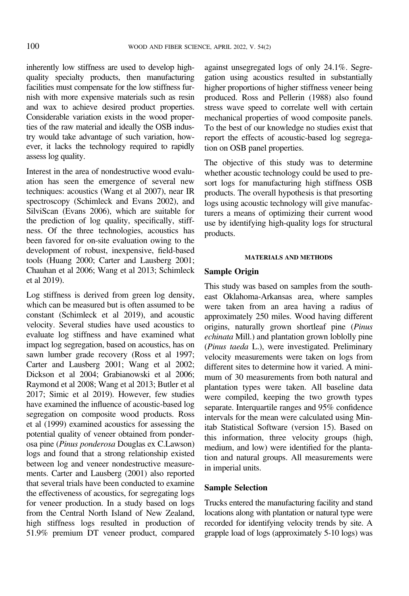inherently low stiffness are used to develop highquality specialty products, then manufacturing facilities must compensate for the low stiffness furnish with more expensive materials such as resin and wax to achieve desired product properties. Considerable variation exists in the wood properties of the raw material and ideally the OSB industry would take advantage of such variation, however, it lacks the technology required to rapidly assess log quality.

Interest in the area of nondestructive wood evaluation has seen the emergence of several new techniques: acoustics [\(Wang et al 2007\)](#page-11-0), near IR spectroscopy [\(Schimleck and Evans 2002](#page-11-0)), and SilviScan [\(Evans 2006](#page-10-0)), which are suitable for the prediction of log quality, specifically, stiffness. Of the three technologies, acoustics has been favored for on-site evaluation owing to the development of robust, inexpensive, field-based tools ([Huang 2000](#page-10-0); [Carter and Lausberg 2001;](#page-10-0) [Chauhan et al 2006](#page-10-0); [Wang et al 2013;](#page-11-0) Schimleck et al 2019).

Log stiffness is derived from green log density, which can be measured but is often assumed to be constant (Schimleck et al 2019), and acoustic velocity. Several studies have used acoustics to evaluate log stiffness and have examined what impact log segregation, based on acoustics, has on sawn lumber grade recovery ([Ross et al 1997;](#page-11-0) [Carter and Lausberg 2001](#page-10-0); Wang et al [2002;](#page-11-0) [Dickson et al 2004; Grabianowski et al 2006;](#page-10-0) [Raymond et al 2008;](#page-10-0) [Wang et al 2013](#page-11-0); [Butler et al](#page-10-0) [2017](#page-10-0); [Simic et al 2019](#page-11-0)). However, few studies have examined the influence of acoustic-based log segregation on composite wood products. [Ross](#page-11-0) [et al \(1999\)](#page-11-0) examined acoustics for assessing the potential quality of veneer obtained from ponderosa pine (Pinus ponderosa Douglas ex C.Lawson) logs and found that a strong relationship existed between log and veneer nondestructive measurements. [Carter and Lausberg \(2001\)](#page-10-0) also reported that several trials have been conducted to examine the effectiveness of acoustics, for segregating logs for veneer production. In a study based on logs from the Central North Island of New Zealand, high stiffness logs resulted in production of 51.9% premium DT veneer product, compared

against unsegregated logs of only 24.1%. Segregation using acoustics resulted in substantially higher proportions of higher stiffness veneer being produced. [Ross and Pellerin \(1988\)](#page-10-0) also found stress wave speed to correlate well with certain mechanical properties of wood composite panels. To the best of our knowledge no studies exist that report the effects of acoustic-based log segregation on OSB panel properties.

The objective of this study was to determine whether acoustic technology could be used to presort logs for manufacturing high stiffness OSB products. The overall hypothesis is that presorting logs using acoustic technology will give manufacturers a means of optimizing their current wood use by identifying high-quality logs for structural products.

## **MATERIALS AND METHODS**

Sample Origin This study was based on samples from the southeast Oklahoma-Arkansas area, where samples were taken from an area having a radius of approximately 250 miles. Wood having different origins, naturally grown shortleaf pine (Pinus echinata Mill.) and plantation grown loblolly pine (Pinus taeda L.), were investigated. Preliminary velocity measurements were taken on logs from different sites to determine how it varied. A minimum of 30 measurements from both natural and plantation types were taken. All baseline data were compiled, keeping the two growth types separate. Interquartile ranges and 95% confidence intervals for the mean were calculated using Minitab Statistical Software (version 15). Based on this information, three velocity groups (high, medium, and low) were identified for the plantation and natural groups. All measurements were in imperial units.

# Sample Selection

Trucks entered the manufacturing facility and stand locations along with plantation or natural type were recorded for identifying velocity trends by site. A grapple load of logs (approximately 5-10 logs) was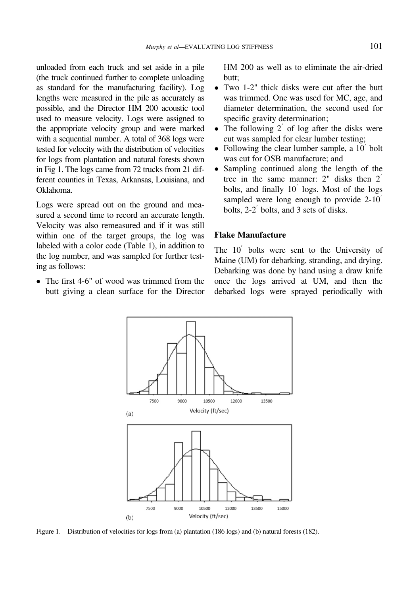unloaded from each truck and set aside in a pile (the truck continued further to complete unloading as standard for the manufacturing facility). Log lengths were measured in the pile as accurately as possible, and the Director HM 200 acoustic tool used to measure velocity. Logs were assigned to the appropriate velocity group and were marked with a sequential number. A total of 368 logs were tested for velocity with the distribution of velocities for logs from plantation and natural forests shown in Fig 1. The logs came from 72 trucks from 21 different counties in Texas, Arkansas, Louisiana, and Oklahoma.

Logs were spread out on the ground and measured a second time to record an accurate length. Velocity was also remeasured and if it was still within one of the target groups, the log was labeled with a color code [\(Table 1](#page-3-0)), in addition to the log number, and was sampled for further testing as follows:

• The first 4-6" of wood was trimmed from the butt giving a clean surface for the Director HM 200 as well as to eliminate the air-dried butt;

- Two 1-2" thick disks were cut after the butt was trimmed. One was used for MC, age, and diameter determination, the second used for specific gravity determination;
- The following  $2'$  of log after the disks were cut was sampled for clear lumber testing;
- Following the clear lumber sample, a  $10<sup>'</sup>$  bolt was cut for OSB manufacture; and
- Sampling continued along the length of the tree in the same manner:  $2^{\prime\prime}$  disks then  $2^{\prime}$ bolts, and finally  $10'$  logs. Most of the logs sampled were long enough to provide  $2-10$ <sup>'</sup> bolts,  $2-2'$  bolts, and 3 sets of disks.

## **Flake Manufacture**  $\mathcal{F}$

The  $10'$  bolts were sent to the University of Maine (UM) for debarking, stranding, and drying. Debarking was done by hand using a draw knife once the logs arrived at UM, and then the debarked logs were sprayed periodically with



Figure 1. Distribution of velocities for logs from (a) plantation (186 logs) and (b) natural forests (182).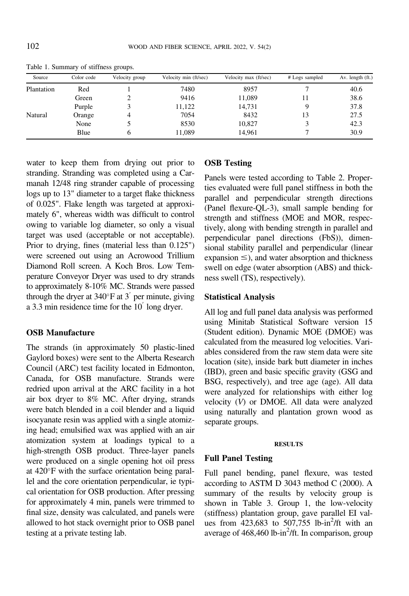| Source     | Color code | Velocity group | Velocity min (ft/sec) | Velocity max (ft/sec) | # Logs sampled | Av. length (ft.) |
|------------|------------|----------------|-----------------------|-----------------------|----------------|------------------|
| Plantation | Red        |                | 7480                  | 8957                  |                | 40.6             |
|            | Green      |                | 9416                  | 11,089                | 11             | 38.6             |
|            | Purple     |                | 11,122                | 14,731                |                | 37.8             |
| Natural    | Orange     |                | 7054                  | 8432                  | 13             | 27.5             |
|            | None       |                | 8530                  | 10,827                |                | 42.3             |
|            | Blue       | 6              | 11,089                | 14,961                |                | 30.9             |

<span id="page-3-0"></span>Table 1. Summary of stiffness groups.

water to keep them from drying out prior to stranding. Stranding was completed using a Carmanah 12/48 ring strander capable of processing logs up to 13" diameter to a target flake thickness of 0.025". Flake length was targeted at approximately 6", whereas width was difficult to control owing to variable log diameter, so only a visual target was used (acceptable or not acceptable). Prior to drying, fines (material less than 0.125") were screened out using an Acrowood Trillium Diamond Roll screen. A Koch Bros. Low Temperature Conveyor Dryer was used to dry strands to approximately 8-10% MC. Strands were passed through the dryer at  $340^{\circ}$ F at  $3'$  per minute, giving a 3.3 min residence time for the  $10<sup>′</sup>$  long dryer.

## **OSB Manufacture** OSB Manufacture

The strands (in approximately 50 plastic-lined Gaylord boxes) were sent to the Alberta Research Council (ARC) test facility located in Edmonton, Canada, for OSB manufacture. Strands were redried upon arrival at the ARC facility in a hot air box dryer to 8% MC. After drying, strands were batch blended in a coil blender and a liquid isocyanate resin was applied with a single atomizing head; emulsified wax was applied with an air atomization system at loadings typical to a high-strength OSB product. Three-layer panels were produced on a single opening hot oil press at  $420^{\circ}$ F with the surface orientation being parallel and the core orientation perpendicular, ie typical orientation for OSB production. After pressing for approximately 4 min, panels were trimmed to final size, density was calculated, and panels were allowed to hot stack overnight prior to OSB panel testing at a private testing lab.

# OSB Testing

Panels were tested according to [Table 2.](#page-4-0) Properties evaluated were full panel stiffness in both the parallel and perpendicular strength directions (Panel flexure-QL-3), small sample bending for strength and stiffness (MOE and MOR, respectively, along with bending strength in parallel and perpendicular panel directions (FbS)), dimensional stability parallel and perpendicular (linear expansion  $\leq$ ), and water absorption and thickness swell on edge (water absorption (ABS) and thickness swell (TS), respectively).

# $\mathcal{S}_{\mathcal{S}}$

All log and full panel data analysis was performed using Minitab Statistical Software version 15 (Student edition). Dynamic MOE (DMOE) was calculated from the measured log velocities. Variables considered from the raw stem data were site location (site), inside bark butt diameter in inches (IBD), green and basic specific gravity (GSG and BSG, respectively), and tree age (age). All data were analyzed for relationships with either log velocity (V) or DMOE. All data were analyzed using naturally and plantation grown wood as separate groups.

### **RESULTS**

Full panel bending, panel flexure, was tested according to ASTM D 3043 method C (2000). A summary of the results by velocity group is shown in [Table 3.](#page-4-0) Group 1, the low-velocity (stiffness) plantation group, gave parallel EI values from 423,683 to 507,755 lb-in<sup>2</sup>/ft with an average of  $468,460$  lb-in<sup>2</sup>/ft. In comparison, group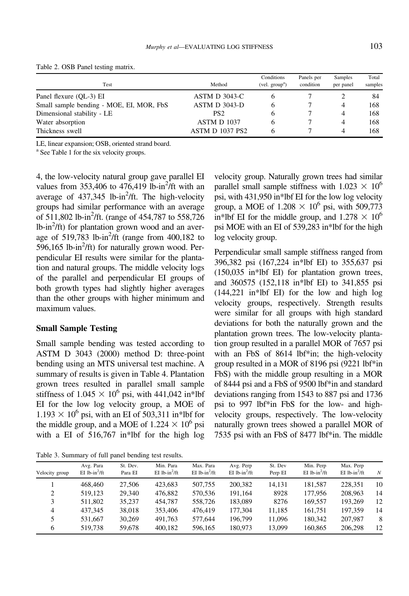| <b>Test</b>                              | Method               | Conditions<br>$(\text{vel.} \text{group}^a)$ | Panels per<br>condition | Samples<br>per panel | Total<br>samples |
|------------------------------------------|----------------------|----------------------------------------------|-------------------------|----------------------|------------------|
| Panel flexure (OL-3) EI                  | <b>ASTM D 3043-C</b> |                                              |                         |                      | 84               |
| Small sample bending - MOE, EI, MOR, FbS | ASTM D 3043-D        |                                              |                         | 4                    | 168              |
| Dimensional stability - LE               | PS <sub>2</sub>      |                                              |                         | 4                    | 168              |
| Water absorption                         | ASTM D 1037          |                                              |                         | 4                    | 168              |
| Thickness swell                          | ASTM D 1037 PS2      |                                              |                         | 4                    | 168              |

<span id="page-4-0"></span>Table 2. OSB Panel testing matrix.

LE, linear expansion; OSB, oriented strand board.

<sup>a</sup> See Table [1](#page-3-0) for the six velocity groups.

4, the low-velocity natural group gave parallel EI values from  $353,406$  to  $476,419$  lb-in<sup>2</sup>/ft with an average of  $437,345$  lb-in<sup>2</sup>/ft. The high-velocity groups had similar performance with an average of 511,802 lb-in<sup>2</sup>/ft. (range of 454,787 to 558,726  $lb$ -in<sup>2</sup>/ft) for plantation grown wood and an average of  $519,783$  lb-in<sup>2</sup>/ft (range from  $400,182$  to  $596,165$  lb-in<sup>2</sup>/ft) for naturally grown wood. Perpendicular EI results were similar for the plantation and natural groups. The middle velocity logs of the parallel and perpendicular EI groups of both growth types had slightly higher averages than the other groups with higher minimum and maximum values.

## Small Sample Testing

Small sample bending was tested according to ASTM D 3043 (2000) method D: three-point bending using an MTS universal test machine. A summary of results is given in [Table 4](#page-5-0). Plantation grown trees resulted in parallel small sample stiffness of  $1.045 \times 10^6$  psi, with 441,042 in\*lbf EI for the low log velocity group, a MOE of  $1.193 \times 10^6$  psi, with an EI of 503,311 in\*lbf for the middle group, and a MOE of  $1.224 \times 10^6$  psi with a EI of 516,767 in\*lbf for the high log

Table 3. Summary of full panel bending test results.

velocity group. Naturally grown trees had similar parallel small sample stiffness with  $1.023 \times 10^6$ psi, with 431,950 in\*lbf EI for the low log velocity group, a MOE of  $1.208 \times 10^6$  psi, with 509,773 in\*lbf EI for the middle group, and  $1.278 \times 10^6$ psi MOE with an EI of 539,283 in\*lbf for the high log velocity group.

Perpendicular small sample stiffness ranged from 396,382 psi (167,224 in\*lbf EI) to 355,637 psi (150,035 in\*lbf EI) for plantation grown trees, and 360575 (152,118 in\*lbf EI) to 341,855 psi (144,221 in\*lbf EI) for the low and high log velocity groups, respectively. Strength results were similar for all groups with high standard deviations for both the naturally grown and the plantation grown trees. The low-velocity plantation group resulted in a parallel MOR of 7657 psi with an FbS of 8614 lbf\*in; the high-velocity group resulted in a MOR of 8196 psi (9221 lbf\*in FbS) with the middle group resulting in a MOR of 8444 psi and a FbS of 9500 lbf\*in and standard deviations ranging from 1543 to 887 psi and 1736 psi to 997 lbf\*in FbS for the low- and highvelocity groups, respectively. The low-velocity naturally grown trees showed a parallel MOR of 7535 psi with an FbS of 8477 lbf\*in. The middle

| Velocity group | Avg. Para<br>$EI$ lb-in <sup>2</sup> /ft | St. Dev.<br>Para EI | Min. Para<br>$EI$ lb-in <sup>2</sup> /ft | Max. Para<br>EI $1b$ -in <sup>2</sup> /ft | Avg. Perp<br>EI lb-in <sup>2</sup> /ft | St. Dev<br>Perp EI | Min. Perp<br>EI lb-in <sup>2</sup> /ft | Max. Perp<br>EI lb-in <sup>2</sup> /ft | N  |
|----------------|------------------------------------------|---------------------|------------------------------------------|-------------------------------------------|----------------------------------------|--------------------|----------------------------------------|----------------------------------------|----|
|                | 468,460                                  | 27,506              | 423.683                                  | 507,755                                   | 200,382                                | 14.131             | 181,587                                | 228,351                                | 10 |
| 2              | 519.123                                  | 29.340              | 476.882                                  | 570.536                                   | 191.164                                | 8928               | 177,956                                | 208,963                                | 14 |
|                | 511,802                                  | 35.237              | 454,787                                  | 558,726                                   | 183,089                                | 8276               | 169.557                                | 193.269                                | 12 |
| 4              | 437.345                                  | 38,018              | 353,406                                  | 476,419                                   | 177,304                                | 11,185             | 161,751                                | 197.359                                | 14 |
|                | 531,667                                  | 30.269              | 491.763                                  | 577,644                                   | 196,799                                | 11.096             | 180,342                                | 207,987                                | 8  |
| 6              | 519.738                                  | 59.678              | 400.182                                  | 596,165                                   | 180,973                                | 13.099             | 160,865                                | 206,298                                | 12 |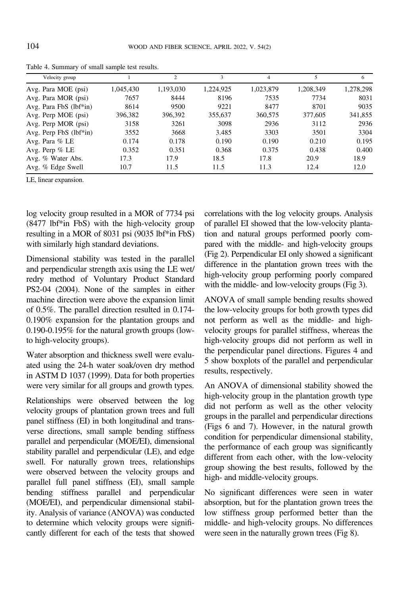| Velocity group               |           | 2         | 3         | 4         | 5         | 6         |
|------------------------------|-----------|-----------|-----------|-----------|-----------|-----------|
| Avg. Para MOE (psi)          | 1,045,430 | 1,193,030 | 1,224,925 | 1,023,879 | 1,208,349 | 1,278,298 |
| Avg. Para MOR (psi)          | 7657      | 8444      | 8196      | 7535      | 7734      | 8031      |
| Avg. Para FbS (lbf*in)       | 8614      | 9500      | 9221      | 8477      | 8701      | 9035      |
| Avg. Perp MOE (psi)          | 396,382   | 396,392   | 355,637   | 360,575   | 377,605   | 341,855   |
| Avg. Perp MOR (psi)          | 3158      | 3261      | 3098      | 2936      | 3112      | 2936      |
| Avg. Perp $FbS$ ( $lbf*in$ ) | 3552      | 3668      | 3.485     | 3303      | 3501      | 3304      |
| Avg. Para % LE               | 0.174     | 0.178     | 0.190     | 0.190     | 0.210     | 0.195     |
| Avg. Perp $%$ LE             | 0.352     | 0.351     | 0.368     | 0.375     | 0.438     | 0.400     |
| Avg. % Water Abs.            | 17.3      | 17.9      | 18.5      | 17.8      | 20.9      | 18.9      |
| Avg. % Edge Swell            | 10.7      | 11.5      | 11.5      | 11.3      | 12.4      | 12.0      |

<span id="page-5-0"></span>Table 4. Summary of small sample test results.

LE, linear expansion.

log velocity group resulted in a MOR of 7734 psi (8477 lbf\*in FbS) with the high-velocity group resulting in a MOR of 8031 psi (9035 lbf\*in FbS) with similarly high standard deviations.

Dimensional stability was tested in the parallel and perpendicular strength axis using the LE wet/ redry method of [Voluntary Product Standard](#page-11-0) [PS2-04 \(2004\)](#page-11-0). None of the samples in either machine direction were above the expansion limit of 0.5%. The parallel direction resulted in 0.174- 0.190% expansion for the plantation groups and 0.190-0.195% for the natural growth groups (lowto high-velocity groups).

Water absorption and thickness swell were evaluated using the 24-h water soak/oven dry method in ASTM D 1037 (1999). Data for both properties were very similar for all groups and growth types.

Relationships were observed between the log velocity groups of plantation grown trees and full panel stiffness (EI) in both longitudinal and transverse directions, small sample bending stiffness parallel and perpendicular (MOE/EI), dimensional stability parallel and perpendicular (LE), and edge swell. For naturally grown trees, relationships were observed between the velocity groups and parallel full panel stiffness (EI), small sample bending stiffness parallel and perpendicular (MOE/EI), and perpendicular dimensional stability. Analysis of variance (ANOVA) was conducted to determine which velocity groups were significantly different for each of the tests that showed

correlations with the log velocity groups. Analysis of parallel EI showed that the low-velocity plantation and natural groups performed poorly compared with the middle- and high-velocity groups [\(Fig 2\)](#page-6-0). Perpendicular EI only showed a significant difference in the plantation grown trees with the high-velocity group performing poorly compared with the middle- and low-velocity groups [\(Fig 3\)](#page-6-0).

ANOVA of small sample bending results showed the low-velocity groups for both growth types did not perform as well as the middle- and highvelocity groups for parallel stiffness, whereas the high-velocity groups did not perform as well in the perpendicular panel directions. [Figures 4](#page-7-0) and [5](#page-7-0) show boxplots of the parallel and perpendicular results, respectively.

An ANOVA of dimensional stability showed the high-velocity group in the plantation growth type did not perform as well as the other velocity groups in the parallel and perpendicular directions (Figs 6 and 7). However, in the natural growth condition for perpendicular dimensional stability, the performance of each group was significantly different from each other, with the low-velocity group showing the best results, followed by the high- and middle-velocity groups.

No significant differences were seen in water absorption, but for the plantation grown trees the low stiffness group performed better than the middle- and high-velocity groups. No differences were seen in the naturally grown trees ([Fig 8\)](#page-9-0).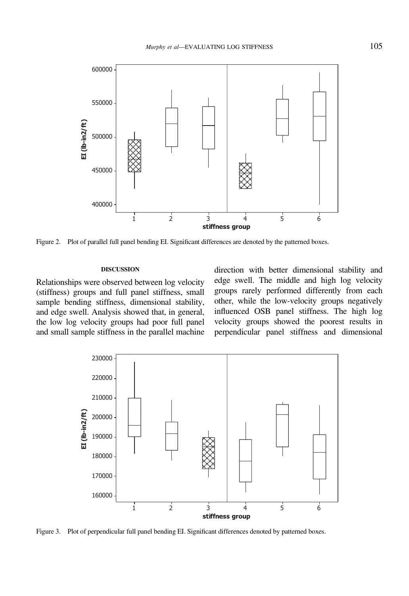<span id="page-6-0"></span>

Figure 2. Plot of parallel full panel bending EI. Significant differences are denoted by the patterned boxes.

## **DISCUSSION**

Relationships were observed between log velocity (stiffness) groups and full panel stiffness, small sample bending stiffness, dimensional stability, and edge swell. Analysis showed that, in general, the low log velocity groups had poor full panel and small sample stiffness in the parallel machine direction with better dimensional stability and edge swell. The middle and high log velocity groups rarely performed differently from each other, while the low-velocity groups negatively influenced OSB panel stiffness. The high log velocity groups showed the poorest results in perpendicular panel stiffness and dimensional



Figure 3. Plot of perpendicular full panel bending EI. Significant differences denoted by patterned boxes.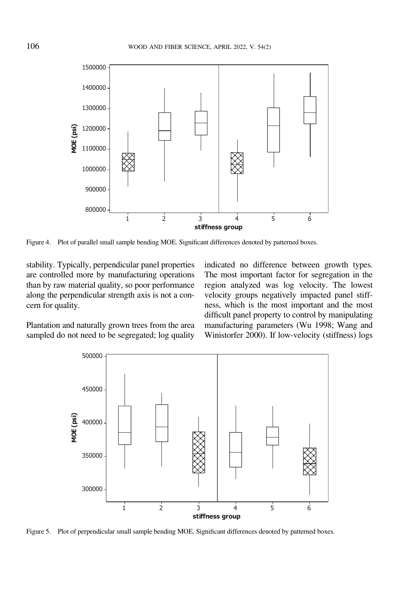<span id="page-7-0"></span>

Figure 4. Plot of parallel small sample bending MOE. Significant differences denoted by patterned boxes.

stability. Typically, perpendicular panel properties are controlled more by manufacturing operations than by raw material quality, so poor performance along the perpendicular strength axis is not a concern for quality.

indicated no difference between growth types. The most important factor for segregation in the region analyzed was log velocity. The lowest velocity groups negatively impacted panel stiffness, which is the most important and the most difficult panel property to control by manipulating manufacturing parameters [\(Wu 1998](#page-11-0); [Wang and](#page-11-0) [Winistorfer 2000\)](#page-11-0). If low-velocity (stiffness) logs

Plantation and naturally grown trees from the area sampled do not need to be segregated; log quality



Figure 5. Plot of perpendicular small sample bending MOE. Significant differences denoted by patterned boxes.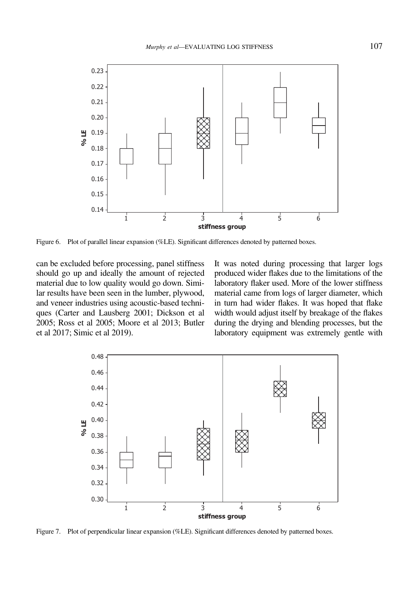

Figure 6. Plot of parallel linear expansion (%LE). Significant differences denoted by patterned boxes.

can be excluded before processing, panel stiffness should go up and ideally the amount of rejected material due to low quality would go down. Similar results have been seen in the lumber, plywood, and veneer industries using acoustic-based techniques [\(Carter and Lausberg 2001](#page-10-0); [Dickson et al](#page-10-0) [2005](#page-10-0); [Ross et al 2005](#page-11-0); [Moore et al 2013; Butler](#page-10-0) [et al 2017;](#page-10-0) [Simic et al 2019](#page-11-0)).

It was noted during processing that larger logs produced wider flakes due to the limitations of the laboratory flaker used. More of the lower stiffness material came from logs of larger diameter, which in turn had wider flakes. It was hoped that flake width would adjust itself by breakage of the flakes during the drying and blending processes, but the laboratory equipment was extremely gentle with



Figure 7. Plot of perpendicular linear expansion (%LE). Significant differences denoted by patterned boxes.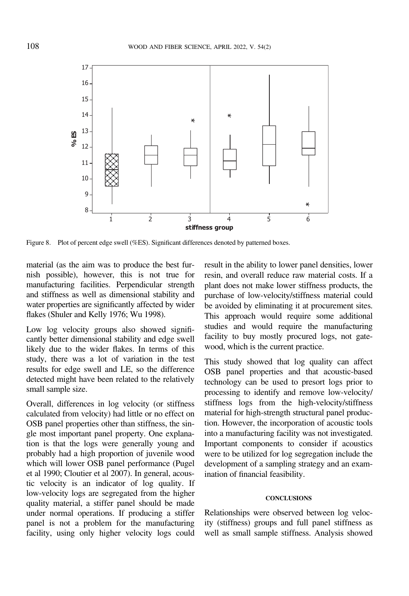<span id="page-9-0"></span>

Figure 8. Plot of percent edge swell (%ES). Significant differences denoted by patterned boxes.

material (as the aim was to produce the best furnish possible), however, this is not true for manufacturing facilities. Perpendicular strength and stiffness as well as dimensional stability and water properties are significantly affected by wider flakes [\(Shuler and Kelly 1976](#page-11-0); [Wu 1998\)](#page-11-0).

Low log velocity groups also showed significantly better dimensional stability and edge swell likely due to the wider flakes. In terms of this study, there was a lot of variation in the test results for edge swell and LE, so the difference detected might have been related to the relatively small sample size.

Overall, differences in log velocity (or stiffness calculated from velocity) had little or no effect on OSB panel properties other than stiffness, the single most important panel property. One explanation is that the logs were generally young and probably had a high proportion of juvenile wood which will lower OSB panel performance [\(Pugel](#page-10-0) [et al 1990](#page-10-0); [Cloutier et al 2007](#page-10-0)). In general, acoustic velocity is an indicator of log quality. If low-velocity logs are segregated from the higher quality material, a stiffer panel should be made under normal operations. If producing a stiffer panel is not a problem for the manufacturing facility, using only higher velocity logs could result in the ability to lower panel densities, lower resin, and overall reduce raw material costs. If a plant does not make lower stiffness products, the purchase of low-velocity/stiffness material could be avoided by eliminating it at procurement sites. This approach would require some additional studies and would require the manufacturing facility to buy mostly procured logs, not gatewood, which is the current practice.

This study showed that log quality can affect OSB panel properties and that acoustic-based technology can be used to presort logs prior to processing to identify and remove low-velocity/ stiffness logs from the high-velocity/stiffness material for high-strength structural panel production. However, the incorporation of acoustic tools into a manufacturing facility was not investigated. Important components to consider if acoustics were to be utilized for log segregation include the development of a sampling strategy and an examination of financial feasibility.

Relationships were observed between log velocity (stiffness) groups and full panel stiffness as well as small sample stiffness. Analysis showed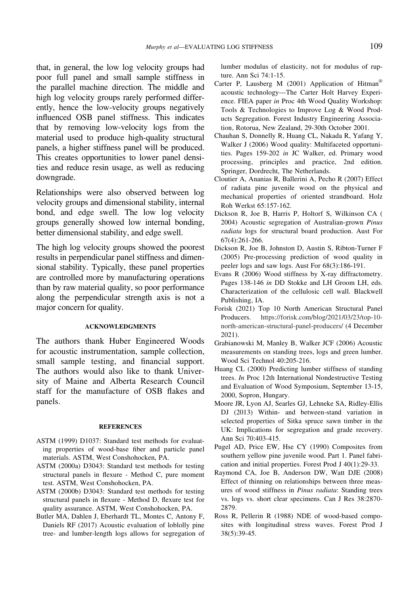<span id="page-10-0"></span>that, in general, the low log velocity groups had poor full panel and small sample stiffness in the parallel machine direction. The middle and high log velocity groups rarely performed differently, hence the low-velocity groups negatively influenced OSB panel stiffness. This indicates that by removing low-velocity logs from the material used to produce high-quality structural panels, a higher stiffness panel will be produced. This creates opportunities to lower panel densities and reduce resin usage, as well as reducing downgrade.

Relationships were also observed between log velocity groups and dimensional stability, internal bond, and edge swell. The low log velocity groups generally showed low internal bonding, better dimensional stability, and edge swell.

The high log velocity groups showed the poorest results in perpendicular panel stiffness and dimensional stability. Typically, these panel properties are controlled more by manufacturing operations than by raw material quality, so poor performance along the perpendicular strength axis is not a major concern for quality.

## **ACKNOWLEDGMENTS**

The authors thank Huber Engineered Woods for acoustic instrumentation, sample collection, small sample testing, and financial support. The authors would also like to thank University of Maine and Alberta Research Council staff for the manufacture of OSB flakes and panels.

### **REFERENCES**

- ASTM (1999) D1037: Standard test methods for evaluating properties of wood-base fiber and particle panel materials. ASTM, West Conshohocken, PA.
- ASTM (2000a) D3043: Standard test methods for testing structural panels in flexure - Method C, pure moment test. ASTM, West Conshohocken, PA.
- ASTM (2000b) D3043: Standard test methods for testing structural panels in flexure - Method D, flexure test for quality assurance. ASTM, West Conshohocken, PA.
- Butler MA, Dahlen J, Eberhardt TL, Montes C, Antony F, Daniels RF (2017) Acoustic evaluation of loblolly pine tree- and lumber-length logs allows for segregation of

lumber modulus of elasticity, not for modulus of rupture. Ann Sci 74:1-15.

- Carter P, Lausberg M (2001) Application of Hitman<sup>®</sup> acoustic technology—The Carter Holt Harvey Experience. FIEA paper in Proc 4th Wood Quality Workshop: Tools & Technologies to Improve Log & Wood Products Segregation. Forest Industry Engineering Association, Rotorua, New Zealand, 29-30th October 2001.
- Chauhan S, Donnelly R, Huang CL, Nakada R, Yafang Y, Walker J (2006) Wood quality: Multifaceted opportunities. Pages 159-202 in JC Walker, ed. Primary wood processing, principles and practice, 2nd edition. Springer, Dordrecht, The Netherlands.
- Cloutier A, Ananias R, Ballerini A, Pecho R (2007) Effect of radiata pine juvenile wood on the physical and mechanical properties of oriented strandboard. Holz Roh Werkst 65:157-162.
- Dickson R, Joe B, Harris P, Holtorf S, Wilkinson CA ( 2004) Acoustic segregation of Australian-grown Pinus radiata logs for structural board production. Aust For 67(4):261-266.
- Dickson R, Joe B, Johnston D, Austin S, Ribton-Turner F (2005) Pre-processing prediction of wood quality in peeler logs and saw logs. Aust For 68(3):186-191.
- Evans R (2006) Wood stiffness by X-ray diffractometry. Pages 138-146 in DD Stokke and LH Groom LH, eds. Characterization of the cellulosic cell wall. Blackwell Publishing, IA.
- Forisk (2021) Top 10 North American Structural Panel Producers. [https://forisk.com/blog/2021/03/23/top-10](https://forisk.com/blog/2021/03/23/top-10-north-american-structural-panel-producers/) [north-american-structural-panel-producers/](https://forisk.com/blog/2021/03/23/top-10-north-american-structural-panel-producers/) (4 December 2021).
- Grabianowski M, Manley B, Walker JCF (2006) Acoustic measurements on standing trees, logs and green lumber. Wood Sci Technol 40:205-216.
- Huang CL (2000) Predicting lumber stiffness of standing trees. In Proc 12th International Nondestructive Testing and Evaluation of Wood Symposium, September 13-15, 2000, Sopron, Hungary.
- Moore JR, Lyon AJ, Searles GJ, Lehneke SA, Ridley-Ellis DJ (2013) Within- and between-stand variation in selected properties of Sitka spruce sawn timber in the UK: Implications for segregation and grade recovery. Ann Sci 70:403-415.
- Pugel AD, Price EW, Hse CY (1990) Composites from southern yellow pine juvenile wood. Part 1. Panel fabrication and initial properties. Forest Prod J 40(1):29-33.
- Raymond CA, Joe B, Anderson DW, Watt DJE (2008) Effect of thinning on relationships between three measures of wood stiffness in Pinus radiata: Standing trees vs. logs vs. short clear specimens. Can J Res 38:2870- 2879.
- Ross R, Pellerin R (1988) NDE of wood-based composites with longitudinal stress waves. Forest Prod J 38(5):39-45.